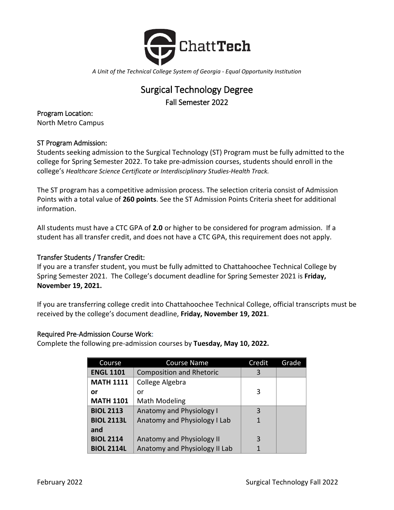

*A Unit of the Technical College System of Georgia - Equal Opportunity Institution*

# Surgical Technology Degree Fall Semester 2022

Program Location: North Metro Campus

# ST Program Admission:

Students seeking admission to the Surgical Technology (ST) Program must be fully admitted to the college for Spring Semester 2022. To take pre-admission courses, students should enroll in the college's *Healthcare Science Certificate or Interdisciplinary Studies-Health Track.* 

The ST program has a competitive admission process. The selection criteria consist of Admission Points with a total value of **260 points**. See the ST Admission Points Criteria sheet for additional information.

All students must have a CTC GPA of **2.0** or higher to be considered for program admission. If a student has all transfer credit, and does not have a CTC GPA, this requirement does not apply.

# Transfer Students / Transfer Credit:

If you are a transfer student, you must be fully admitted to Chattahoochee Technical College by Spring Semester 2021. The College's document deadline for Spring Semester 2021 is **Friday, November 19, 2021.**

If you are transferring college credit into Chattahoochee Technical College, official transcripts must be received by the college's document deadline, **Friday, November 19, 2021**.

#### Required Pre-Admission Course Work:

Complete the following pre-admission courses by **Tuesday, May 10, 2022.**

| Course            | <b>Course Name</b>              | Credit | Grade |
|-------------------|---------------------------------|--------|-------|
| <b>ENGL 1101</b>  | <b>Composition and Rhetoric</b> | 3      |       |
| <b>MATH 1111</b>  | College Algebra                 |        |       |
| or                | or                              | 3      |       |
| <b>MATH 1101</b>  | Math Modeling                   |        |       |
| <b>BIOL 2113</b>  | <b>Anatomy and Physiology I</b> | 3      |       |
| <b>BIOL 2113L</b> | Anatomy and Physiology I Lab    |        |       |
| and               |                                 |        |       |
| <b>BIOL 2114</b>  | Anatomy and Physiology II       | 3      |       |
| <b>BIOL 2114L</b> | Anatomy and Physiology II Lab   |        |       |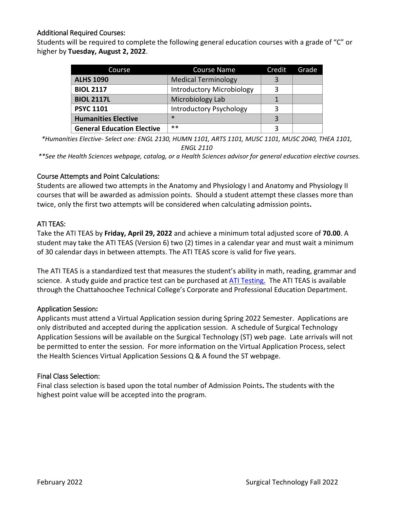# Additional Required Courses:

Students will be required to complete the following general education courses with a grade of "C" or higher by **Tuesday, August 2, 2022**.

| Course                            | <b>Course Name</b>               | Credit | Grade |
|-----------------------------------|----------------------------------|--------|-------|
| <b>ALHS 1090</b>                  | <b>Medical Terminology</b>       |        |       |
| <b>BIOL 2117</b>                  | <b>Introductory Microbiology</b> |        |       |
| <b>BIOL 2117L</b>                 | Microbiology Lab                 |        |       |
| <b>PSYC 1101</b>                  | <b>Introductory Psychology</b>   |        |       |
| <b>Humanities Elective</b>        | $\ast$                           |        |       |
| <b>General Education Elective</b> | $***$                            |        |       |

*\*Humanities Elective- Select one: ENGL 2130, HUMN 1101, ARTS 1101, MUSC 1101, MUSC 2040, THEA 1101, ENGL 2110*

*\*\*See the Health Sciences webpage, catalog, or a Health Sciences advisor for general education elective courses.*

## Course Attempts and Point Calculations:

Students are allowed two attempts in the Anatomy and Physiology I and Anatomy and Physiology II courses that will be awarded as admission points. Should a student attempt these classes more than twice, only the first two attempts will be considered when calculating admission points**.**

## ATI TEAS:

Take the ATI TEAS by **Friday, April 29, 2022** and achieve a minimum total adjusted score of **70.00**. A student may take the ATI TEAS (Version 6) two (2) times in a calendar year and must wait a minimum of 30 calendar days in between attempts. The ATI TEAS score is valid for five years.

The ATI TEAS is a standardized test that measures the student's ability in math, reading, grammar and science. A study guide and practice test can be purchased at [ATI Testing.](http://www.atitesting.com/) The ATI TEAS is available through the Chattahoochee Technical College's Corporate and Professional Education Department.

#### Application Session**:**

Applicants must attend a Virtual Application session during Spring 2022 Semester. Applications are only distributed and accepted during the application session. A schedule of Surgical Technology Application Sessions will be available on the Surgical Technology (ST) web page. Late arrivals will not be permitted to enter the session. For more information on the Virtual Application Process, select the Health Sciences Virtual Application Sessions Q & A found the ST webpage.

#### Final Class Selection:

Final class selection is based upon the total number of Admission Points**.** The students with the highest point value will be accepted into the program.